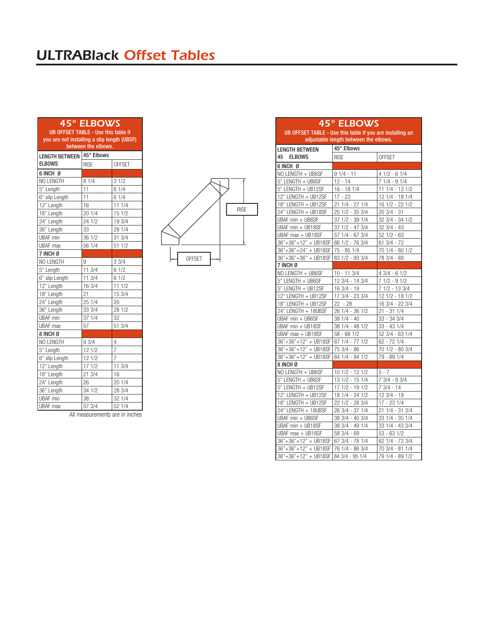## *ULTRABlack Offset Tables*

## *45° ELBOWS*

UB OFFSET TABLE - Use this table if you are not installing a slip length (UBSF) between the elbows.

| LENGTH BETWEEN 45° Elbows<br><b>ELBOWS</b> |             |                |
|--------------------------------------------|-------------|----------------|
|                                            | <b>RISE</b> | <b>OFFSET</b>  |
| 6 INCH Ø                                   |             |                |
| NO LENGTH                                  | 81/4        | 31/2           |
| 5" Length                                  | 11          | 61/4           |
| 6" slip Length                             | 11          | 61/4           |
| 12" Length                                 | 16          | 11 1/4         |
| 18" Length                                 | 20 1/4      | 15 1/2         |
| $24$ " Length                              | 24 1/2      | 19 3/4         |
| 36" Length                                 | 33          | 28 1/4         |
| <b>UBAF</b> min                            | 36 1/2      | 31 3/4         |
| <b>UBAF</b> max                            | 56 1/4      | 51 1/2         |
| 7 INCH Ø                                   |             |                |
| NO LENGTH                                  | 9           | 33/4           |
| 5" Length                                  | 11 3/4      | 61/2           |
| 6" slip Length                             | 11 3/4      | 61/2           |
| 12" Length                                 | 16 3/4      | 111/2          |
| 18" Length                                 | 21          | 15 3/4         |
| 24" Length                                 | 25 1/4      | 20             |
| $36"$ Length                               | 33 3/4      | 28 1/2         |
| <b>UBAF</b> min                            | 37 1/4      | 32             |
| <b>UBAF</b> max                            | 57          | 51 3/4         |
| 8 INCH Ø                                   |             |                |
| NO LENGTH                                  | 93/4        | 4              |
| 5" Length                                  | 12 1/2      | $\overline{7}$ |
| 6" slip Length                             | 12 1/2      | $\overline{7}$ |
| 12" Length                                 | 17 1/2      | 11 3/4         |
| 18" Length                                 | 21 3/4      | 16             |
| 24" Length                                 | 26          | 20 1/4         |
| 36" Length                                 | 34 1/2      | 28 3/4         |
| <b>UBAF</b> min                            | 38          | 32 1/4         |
| UBAF max                                   | 57 3/4      | 52 1/4         |

OFFSET RISE

| 45° ELBOWS<br>UB OFFSET TABLE - Use this table if you are installing an<br>adjustable length between the elbows. |                            |                                   |  |  |
|------------------------------------------------------------------------------------------------------------------|----------------------------|-----------------------------------|--|--|
|                                                                                                                  |                            |                                   |  |  |
| <b>LENGTH BETWEEN</b><br>45<br><b>ELBOWS</b>                                                                     | <b>RISE</b>                | <b>OFFSET</b>                     |  |  |
|                                                                                                                  |                            |                                   |  |  |
| <b>6 INCH 0</b>                                                                                                  |                            |                                   |  |  |
| NO LENGTH + UB6SF                                                                                                | $91/4 - 11$                | $41/2 - 61/4$                     |  |  |
| 5" LENGTH + UB6SF                                                                                                | $12 - 14$                  | $71/4 - 91/4$                     |  |  |
| 5" LENGTH + UB12SF                                                                                               | $16 - 181/4$               | 11 1/4 - 13 1/2                   |  |  |
| 12" LENGTH + UB12SF                                                                                              | 17 - 23                    | 12 1/4 - 18 1/4                   |  |  |
| 18" LENGTH + UB12SF                                                                                              | 21 1/4 - 27 1/4            | 16 1/2 - 22 1/2                   |  |  |
| 24" LENGTH + UB18SF                                                                                              | 25 1/2 - 35 3/4            | $203/4 - 31$                      |  |  |
| UBAF min + UB6SF                                                                                                 | 37 1/2 - 39 1/4            | $32 \frac{3}{4} - 34 \frac{1}{2}$ |  |  |
| UBAF min + UB18SF                                                                                                | 37 1/2 - 47 3/4            | $323/4 - 43$                      |  |  |
| UBAF max + UB18SF                                                                                                | 57 1/4 - 67 3/4            | $521/2 - 63$                      |  |  |
| 36"+36"+12" + UB18SF 66 1/2 - 76 3/4                                                                             |                            | $613/4 - 72$                      |  |  |
| 36"+36"+24" + UB18SF   75 - 85 1/4                                                                               |                            | 70 1/4 - 80 1/2                   |  |  |
| 36"+36"+36" + UB18SF                                                                                             | 83 1/2 - 93 3/4            | 78 3/4 - 89                       |  |  |
| 7 INCH Ø                                                                                                         |                            |                                   |  |  |
| NO LENGTH + UB6SF                                                                                                | $10 - 113/4$               | $43/4 - 61/2$                     |  |  |
| 5" LENGTH + UB6SF                                                                                                | 12 3/4 - 14 3/4            | $71/2 - 91/2$                     |  |  |
| 5" LENGTH + UB12SF                                                                                               | 16 3/4 - 19                | 7 1/2 - 13 3/4                    |  |  |
| 12" LENGTH + UB12SF                                                                                              | 17 3/4 - 23 3/4            | 12 1/2 - 18 1/2                   |  |  |
| 18" LENGTH + UB12SF                                                                                              | $22 - 28$                  | 16 3/4 - 22 3/4                   |  |  |
| 24" LENGTH + 18UBSF                                                                                              | 26 1/4 - 36 1/2            | 21 - 31 1/4                       |  |  |
| UBAF min + UB6SF                                                                                                 | 38 1/4 - 40                | 33 - 34 3/4                       |  |  |
| UBAF min + UB18SF                                                                                                | 38 1/4 - 48 1/2            | 33 - 43 1/4                       |  |  |
| UBAF max + UB18SF                                                                                                | $58 - 681/2$               | 52 3/4 - 63 1/4                   |  |  |
| 36"+36"+12" + UB18SF 67 1/4 - 77 1/2                                                                             |                            | 62 - 72 1/4                       |  |  |
| 36"+36"+12" + UB18SF 75 3/4 - 86                                                                                 |                            | 70 1/2 - 80 3/4                   |  |  |
| 36"+36"+12" + UB18SF                                                                                             | 84 1/4 - 94 1/2            | 79 - 89 1/4                       |  |  |
| 8 INCH Ø                                                                                                         |                            |                                   |  |  |
| NO LENGTH + UB6SF                                                                                                | 10 1/2 - 12 1/2            | $5 - 7$                           |  |  |
| 5" LENGTH + UB6SF                                                                                                | 13 1/2 - 15 1/4            | $73/4 - 93/4$                     |  |  |
| 5" LENGTH + UB12SF                                                                                               | $\frac{1}{2}$ 1/2 - 19 1/2 | $73/4 - 14$                       |  |  |
| 12" LENGTH + UB12SF                                                                                              | 18 1/4 - 24 1/2            | 12 3/4 - 19                       |  |  |
| 18" LENGTH + UB12SF                                                                                              | $221/2 - 283/4$            | 17 - 23 1/4                       |  |  |
| 24" LENGTH + 18UBSF                                                                                              | 26 3/4 - 37 1/4            | 21 1/4 - 31 3/4                   |  |  |
| UBAF min + UB6SF                                                                                                 | 38 3/4 - 40 3/4            | 33 1/4 - 35 1/4                   |  |  |
| UBAF min + UB18SF                                                                                                | 38 3/4 - 49 1/4            | 33 1/4 - 43 3/4                   |  |  |
| UBAF max + UB18SF                                                                                                | 58 3/4 - 69                | $53 - 631/2$                      |  |  |
| 36"+36"+12" + UB18SF 67 3/4 - 78 1/4                                                                             |                            | 62 1/4 - 72 3/4                   |  |  |
| $36" + 36" + 12" + UB18SF$                                                                                       | 76 1/4 - 86 3/4            | 70 3/4 - 81 1/4                   |  |  |
| 36"+36"+12" + UB18SF                                                                                             | 84 3/4 - 95 1/4            | 79 1/4 - 89 1/2                   |  |  |
|                                                                                                                  |                            |                                   |  |  |